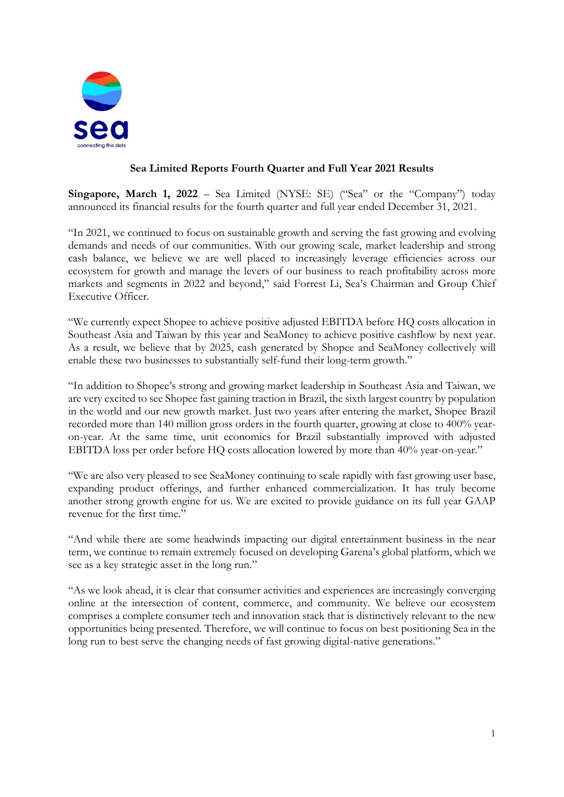

## **Sea Limited Reports Fourth Quarter and Full Year 2021 Results**

**Singapore, March 1, 2022** – Sea Limited (NYSE: SE) ("Sea" or the "Company") today announced its financial results for the fourth quarter and full year ended December 31, 2021.

"In 2021, we continued to focus on sustainable growth and serving the fast growing and evolving demands and needs of our communities. With our growing scale, market leadership and strong cash balance, we believe we are well placed to increasingly leverage efficiencies across our ecosystem for growth and manage the levers of our business to reach profitability across more markets and segments in 2022 and beyond," said Forrest Li, Sea's Chairman and Group Chief Executive Officer.

"We currently expect Shopee to achieve positive adjusted EBITDA before HQ costs allocation in Southeast Asia and Taiwan by this year and SeaMoney to achieve positive cashflow by next year. As a result, we believe that by 2025, cash generated by Shopee and SeaMoney collectively will enable these two businesses to substantially self-fund their long-term growth."

"In addition to Shopee's strong and growing market leadership in Southeast Asia and Taiwan, we are very excited to see Shopee fast gaining traction in Brazil, the sixth largest country by population in the world and our new growth market. Just two years after entering the market, Shopee Brazil recorded more than 140 million gross orders in the fourth quarter, growing at close to 400% yearon-year. At the same time, unit economics for Brazil substantially improved with adjusted EBITDA loss per order before HQ costs allocation lowered by more than 40% year-on-year."

"We are also very pleased to see SeaMoney continuing to scale rapidly with fast growing user base, expanding product offerings, and further enhanced commercialization. It has truly become another strong growth engine for us. We are excited to provide guidance on its full year GAAP revenue for the first time."

"And while there are some headwinds impacting our digital entertainment business in the near term, we continue to remain extremely focused on developing Garena's global platform, which we see as a key strategic asset in the long run."

"As we look ahead, it is clear that consumer activities and experiences are increasingly converging online at the intersection of content, commerce, and community. We believe our ecosystem comprises a complete consumer tech and innovation stack that is distinctively relevant to the new opportunities being presented. Therefore, we will continue to focus on best positioning Sea in the long run to best serve the changing needs of fast growing digital-native generations."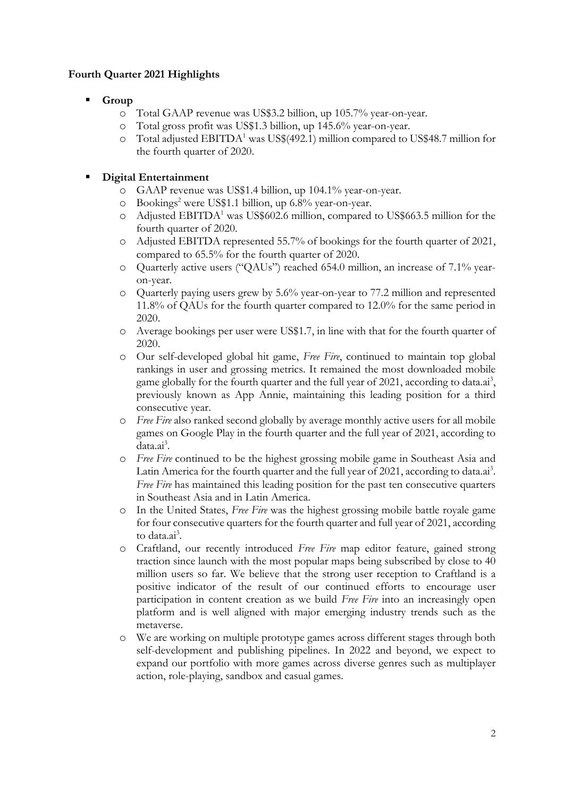## **Fourth Quarter 2021 Highlights**

- Group
	- o Total GAAP revenue was US\$3.2 billion, up 105.7% year-on-year.
	- o Total gross profit was US\$1.3 billion, up 145.6% year-on-year.
	- o Total adjusted EBITDA<sup>1</sup> was US\$(492.1) million compared to US\$48.7 million for the fourth quarter of 2020.

## **Digital Entertainment**

- o GAAP revenue was US\$1.4 billion, up 104.1% year-on-year.
- o Bookings<sup>2</sup> were US\$1.1 billion, up 6.8% year-on-year.
- o Adjusted EBITDA<sup>1</sup> was US\$602.6 million, compared to US\$663.5 million for the fourth quarter of 2020.
- o Adjusted EBITDA represented 55.7% of bookings for the fourth quarter of 2021, compared to 65.5% for the fourth quarter of 2020.
- o Quarterly active users ("QAUs") reached 654.0 million, an increase of 7.1% yearon-year.
- o Quarterly paying users grew by 5.6% year-on-year to 77.2 million and represented 11.8% of QAUs for the fourth quarter compared to 12.0% for the same period in 2020.
- o Average bookings per user were US\$1.7, in line with that for the fourth quarter of 2020.
- o Our self-developed global hit game, *Free Fire*, continued to maintain top global rankings in user and grossing metrics. It remained the most downloaded mobile game globally for the fourth quarter and the full year of 2021, according to data.ai<sup>3</sup>, previously known as App Annie, maintaining this leading position for a third consecutive year.
- o *Free Fire* also ranked second globally by average monthly active users for all mobile games on Google Play in the fourth quarter and the full year of 2021, according to data.ai<sup>3</sup>.
- o *Free Fire* continued to be the highest grossing mobile game in Southeast Asia and Latin America for the fourth quarter and the full year of 2021, according to data.ai<sup>3</sup>. *Free Fire* has maintained this leading position for the past ten consecutive quarters in Southeast Asia and in Latin America.
- o In the United States, *Free Fire* was the highest grossing mobile battle royale game for four consecutive quarters for the fourth quarter and full year of 2021, according to data.ai<sup>3</sup>.
- o Craftland, our recently introduced *Free Fire* map editor feature, gained strong traction since launch with the most popular maps being subscribed by close to 40 million users so far. We believe that the strong user reception to Craftland is a positive indicator of the result of our continued efforts to encourage user participation in content creation as we build *Free Fire* into an increasingly open platform and is well aligned with major emerging industry trends such as the metaverse.
- o We are working on multiple prototype games across different stages through both self-development and publishing pipelines. In 2022 and beyond, we expect to expand our portfolio with more games across diverse genres such as multiplayer action, role-playing, sandbox and casual games.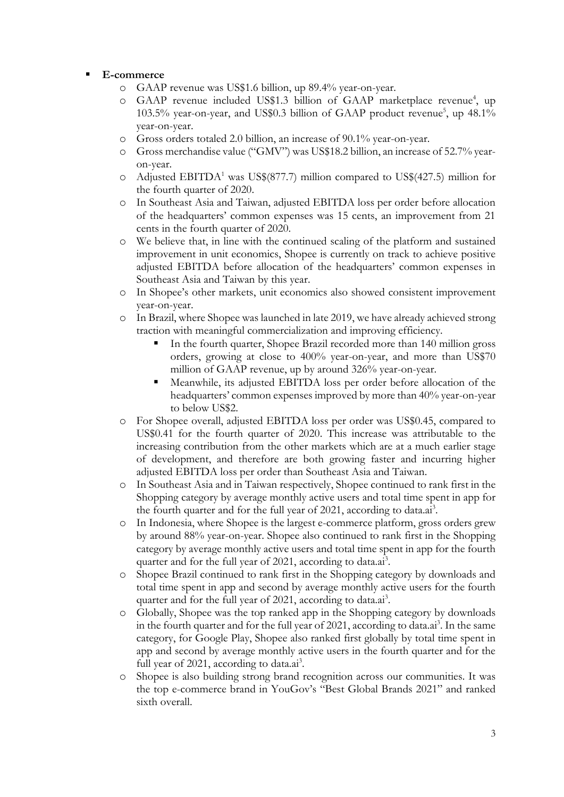### ▪ **E-commerce**

- o GAAP revenue was US\$1.6 billion, up 89.4% year-on-year.
- o GAAP revenue included US\$1.3 billion of GAAP marketplace revenue<sup>4</sup>, up 103.5% year-on-year, and US\$0.3 billion of GAAP product revenue<sup>5</sup>, up 48.1% year-on-year.
- o Gross orders totaled 2.0 billion, an increase of 90.1% year-on-year.
- o Gross merchandise value ("GMV") was US\$18.2 billion, an increase of 52.7% yearon-year.
- o Adjusted EBITDA<sup>1</sup> was US\$(877.7) million compared to US\$(427.5) million for the fourth quarter of 2020.
- o In Southeast Asia and Taiwan, adjusted EBITDA loss per order before allocation of the headquarters' common expenses was 15 cents, an improvement from 21 cents in the fourth quarter of 2020.
- o We believe that, in line with the continued scaling of the platform and sustained improvement in unit economics, Shopee is currently on track to achieve positive adjusted EBITDA before allocation of the headquarters' common expenses in Southeast Asia and Taiwan by this year.
- o In Shopee's other markets, unit economics also showed consistent improvement year-on-year.
- o In Brazil, where Shopee was launched in late 2019, we have already achieved strong traction with meaningful commercialization and improving efficiency.
	- In the fourth quarter, Shopee Brazil recorded more than 140 million gross orders, growing at close to 400% year-on-year, and more than US\$70 million of GAAP revenue, up by around 326% year-on-year.
	- Meanwhile, its adjusted EBITDA loss per order before allocation of the headquarters' common expenses improved by more than 40% year-on-year to below US\$2.
- o For Shopee overall, adjusted EBITDA loss per order was US\$0.45, compared to US\$0.41 for the fourth quarter of 2020. This increase was attributable to the increasing contribution from the other markets which are at a much earlier stage of development, and therefore are both growing faster and incurring higher adjusted EBITDA loss per order than Southeast Asia and Taiwan.
- o In Southeast Asia and in Taiwan respectively, Shopee continued to rank first in the Shopping category by average monthly active users and total time spent in app for the fourth quarter and for the full year of 2021, according to data.ai<sup>3</sup>.
- o In Indonesia, where Shopee is the largest e-commerce platform, gross orders grew by around 88% year-on-year. Shopee also continued to rank first in the Shopping category by average monthly active users and total time spent in app for the fourth quarter and for the full year of 2021, according to data.ai<sup>3</sup>.
- o Shopee Brazil continued to rank first in the Shopping category by downloads and total time spent in app and second by average monthly active users for the fourth quarter and for the full year of 2021, according to data.ai<sup>3</sup>.
- o Globally, Shopee was the top ranked app in the Shopping category by downloads in the fourth quarter and for the full year of 2021, according to data.ai<sup>3</sup>. In the same category, for Google Play, Shopee also ranked first globally by total time spent in app and second by average monthly active users in the fourth quarter and for the full year of 2021, according to data.ai<sup>3</sup>.
- Shopee is also building strong brand recognition across our communities. It was the top e-commerce brand in YouGov's "Best Global Brands 2021" and ranked sixth overall.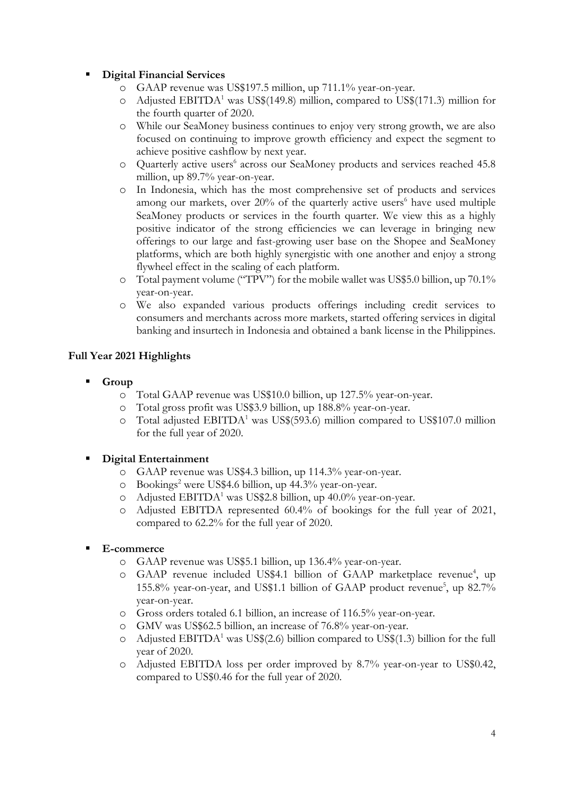## **Digital Financial Services**

- o GAAP revenue was US\$197.5 million, up 711.1% year-on-year.
- $\circ$  Adjusted EBITDA<sup>1</sup> was US\$(149.8) million, compared to US\$(171.3) million for the fourth quarter of 2020.
- o While our SeaMoney business continues to enjoy very strong growth, we are also focused on continuing to improve growth efficiency and expect the segment to achieve positive cashflow by next year.
- o Quarterly active users 6 across our SeaMoney products and services reached 45.8 million, up 89.7% year-on-year.
- o In Indonesia, which has the most comprehensive set of products and services among our markets, over  $20\%$  of the quarterly active users<sup>6</sup> have used multiple SeaMoney products or services in the fourth quarter. We view this as a highly positive indicator of the strong efficiencies we can leverage in bringing new offerings to our large and fast-growing user base on the Shopee and SeaMoney platforms, which are both highly synergistic with one another and enjoy a strong flywheel effect in the scaling of each platform.
- o Total payment volume ("TPV") for the mobile wallet was US\$5.0 billion, up 70.1% year-on-year.
- o We also expanded various products offerings including credit services to consumers and merchants across more markets, started offering services in digital banking and insurtech in Indonesia and obtained a bank license in the Philippines.

## **Full Year 2021 Highlights**

- Group
	- o Total GAAP revenue was US\$10.0 billion, up 127.5% year-on-year.
	- o Total gross profit was US\$3.9 billion, up 188.8% year-on-year.
	- o Total adjusted  $EBITDA<sup>1</sup>$  was US\$(593.6) million compared to US\$107.0 million for the full year of 2020.

## **Digital Entertainment**

- o GAAP revenue was US\$4.3 billion, up 114.3% year-on-year.
- o Bookings<sup>2</sup> were US\$4.6 billion, up 44.3% year-on-year.
- o Adjusted EBITDA<sup>1</sup> was US\$2.8 billion, up  $40.0\%$  year-on-year.
- o Adjusted EBITDA represented 60.4% of bookings for the full year of 2021, compared to 62.2% for the full year of 2020.

### ▪ **E-commerce**

- o GAAP revenue was US\$5.1 billion, up 136.4% year-on-year.
- o GAAP revenue included US\$4.1 billion of GAAP marketplace revenue<sup>4</sup>, up 155.8% year-on-year, and US\$1.1 billion of GAAP product revenue<sup>5</sup>, up 82.7% year-on-year.
- o Gross orders totaled 6.1 billion, an increase of 116.5% year-on-year.
- o GMV was US\$62.5 billion, an increase of 76.8% year-on-year.
- o Adjusted EBITDA<sup>1</sup> was US\$(2.6) billion compared to US\$(1.3) billion for the full year of 2020.
- o Adjusted EBITDA loss per order improved by 8.7% year-on-year to US\$0.42, compared to US\$0.46 for the full year of 2020.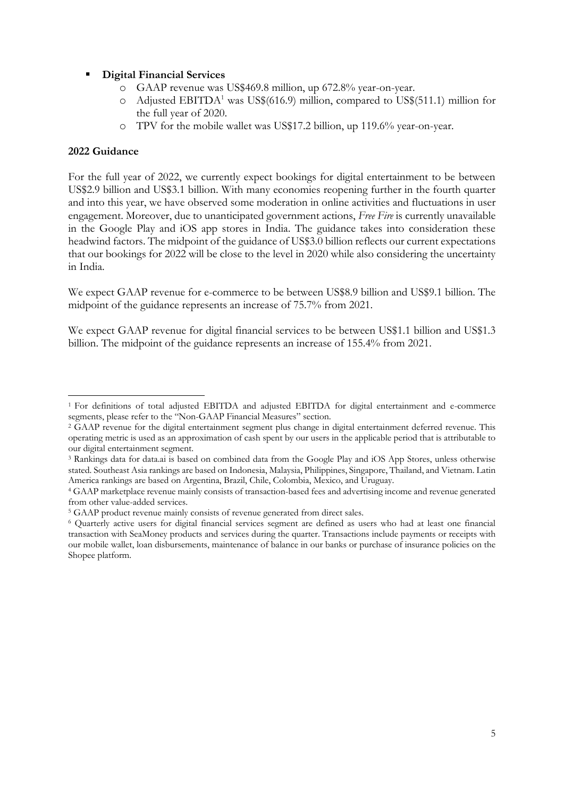### **Digital Financial Services**

- o GAAP revenue was US\$469.8 million, up 672.8% year-on-year.
- $\circ$  Adjusted EBITDA<sup>1</sup> was US\$(616.9) million, compared to US\$(511.1) million for the full year of 2020.
- o TPV for the mobile wallet was US\$17.2 billion, up 119.6% year-on-year.

### **2022 Guidance**

For the full year of 2022, we currently expect bookings for digital entertainment to be between US\$2.9 billion and US\$3.1 billion. With many economies reopening further in the fourth quarter and into this year, we have observed some moderation in online activities and fluctuations in user engagement. Moreover, due to unanticipated government actions, *Free Fire* is currently unavailable in the Google Play and iOS app stores in India. The guidance takes into consideration these headwind factors. The midpoint of the guidance of US\$3.0 billion reflects our current expectations that our bookings for 2022 will be close to the level in 2020 while also considering the uncertainty in India.

We expect GAAP revenue for e-commerce to be between US\$8.9 billion and US\$9.1 billion. The midpoint of the guidance represents an increase of 75.7% from 2021.

We expect GAAP revenue for digital financial services to be between US\$1.1 billion and US\$1.3 billion. The midpoint of the guidance represents an increase of 155.4% from 2021.

<sup>1</sup> For definitions of total adjusted EBITDA and adjusted EBITDA for digital entertainment and e-commerce segments, please refer to the "Non-GAAP Financial Measures" section.

<sup>2</sup> GAAP revenue for the digital entertainment segment plus change in digital entertainment deferred revenue. This operating metric is used as an approximation of cash spent by our users in the applicable period that is attributable to our digital entertainment segment.

<sup>3</sup> Rankings data for data.ai is based on combined data from the Google Play and iOS App Stores, unless otherwise stated. Southeast Asia rankings are based on Indonesia, Malaysia, Philippines, Singapore, Thailand, and Vietnam. Latin America rankings are based on Argentina, Brazil, Chile, Colombia, Mexico, and Uruguay.

<sup>4</sup> GAAP marketplace revenue mainly consists of transaction-based fees and advertising income and revenue generated from other value-added services.

<sup>5</sup> GAAP product revenue mainly consists of revenue generated from direct sales.

<sup>6</sup> Quarterly active users for digital financial services segment are defined as users who had at least one financial transaction with SeaMoney products and services during the quarter. Transactions include payments or receipts with our mobile wallet, loan disbursements, maintenance of balance in our banks or purchase of insurance policies on the Shopee platform.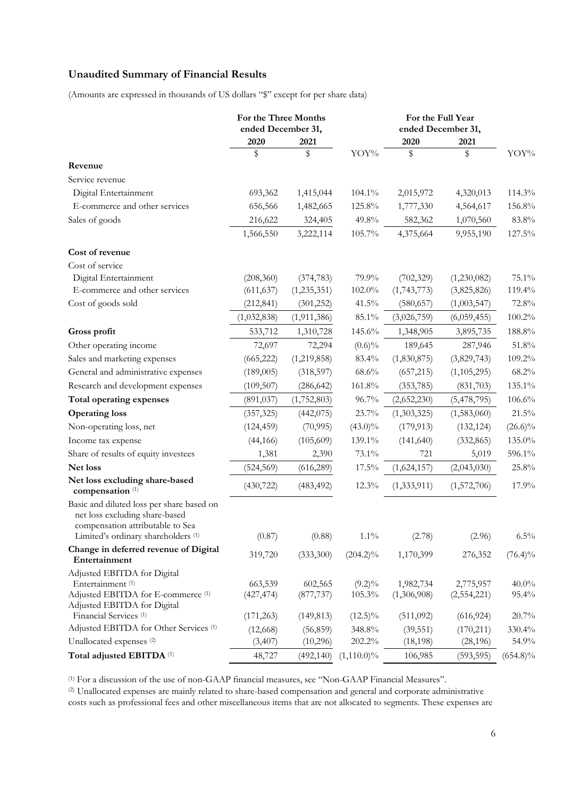## **Unaudited Summary of Financial Results**

(Amounts are expressed in thousands of US dollars "\$" except for per share data)

|                                                                                                                                                                       | For the Three Months<br>ended December 31, |                                     |                                   | For the Full Year<br>ended December 31, |                                        |                            |
|-----------------------------------------------------------------------------------------------------------------------------------------------------------------------|--------------------------------------------|-------------------------------------|-----------------------------------|-----------------------------------------|----------------------------------------|----------------------------|
|                                                                                                                                                                       | 2020                                       | 2021                                |                                   | 2020                                    | 2021                                   |                            |
|                                                                                                                                                                       | \$                                         | \$                                  | YOY%                              | \$                                      | \$                                     | YOY%                       |
| Revenue                                                                                                                                                               |                                            |                                     |                                   |                                         |                                        |                            |
| Service revenue                                                                                                                                                       |                                            |                                     |                                   |                                         |                                        |                            |
| Digital Entertainment                                                                                                                                                 | 693,362                                    | 1,415,044                           | 104.1%                            | 2,015,972                               | 4,320,013                              | 114.3%                     |
| E-commerce and other services                                                                                                                                         | 656,566                                    | 1,482,665                           | 125.8%                            | 1,777,330                               | 4,564,617                              | 156.8%                     |
| Sales of goods                                                                                                                                                        | 216,622                                    | 324,405                             | 49.8%                             | 582,362                                 | 1,070,560                              | 83.8%                      |
|                                                                                                                                                                       | 1,566,550                                  | 3,222,114                           | 105.7%                            | 4,375,664                               | 9,955,190                              | 127.5%                     |
| Cost of revenue                                                                                                                                                       |                                            |                                     |                                   |                                         |                                        |                            |
| Cost of service                                                                                                                                                       |                                            |                                     |                                   |                                         |                                        |                            |
| Digital Entertainment                                                                                                                                                 | (208,360)                                  | (374, 783)                          | 79.9%                             | (702, 329)                              | (1,230,082)                            | 75.1%                      |
| E-commerce and other services                                                                                                                                         | (611, 637)                                 | (1, 235, 351)                       | $102.0\%$                         | (1,743,773)                             | (3,825,826)                            | 119.4%                     |
| Cost of goods sold                                                                                                                                                    | (212, 841)                                 | (301, 252)                          | $41.5\%$                          | (580, 657)                              | (1,003,547)                            | 72.8%                      |
|                                                                                                                                                                       | (1,032,838)                                | (1,911,386)                         | $85.1\%$                          | (3,026,759)                             | (6,059,455)                            | 100.2%                     |
| Gross profit                                                                                                                                                          | 533,712                                    | 1,310,728                           | 145.6%                            | 1,348,905                               | 3,895,735                              | $188.8\%$                  |
| Other operating income                                                                                                                                                | 72,697                                     | 72,294                              | $(0.6)\%$                         | 189,645                                 | 287,946                                | $51.8\%$                   |
| Sales and marketing expenses                                                                                                                                          | (665, 222)                                 | (1,219,858)                         | 83.4%                             | (1,830,875)                             | (3,829,743)                            | 109.2%                     |
| General and administrative expenses                                                                                                                                   | (189,005)                                  | (318, 597)                          | 68.6%                             | (657, 215)                              | (1, 105, 295)                          | 68.2%                      |
| Research and development expenses                                                                                                                                     | (109, 507)                                 | (286, 642)                          | 161.8%                            | (353, 785)                              | (831,703)                              | 135.1%                     |
| Total operating expenses                                                                                                                                              | (891, 037)                                 | (1,752,803)                         | 96.7%                             | (2,652,230)                             | (5,478,795)                            | 106.6%                     |
| <b>Operating loss</b>                                                                                                                                                 | (357, 325)                                 | (442, 075)                          | 23.7%                             | (1,303,325)                             | (1,583,060)                            | 21.5%                      |
| Non-operating loss, net                                                                                                                                               | (124, 459)                                 | (70, 995)                           | $(43.0)\%$                        | (179, 913)                              | (132, 124)                             | $(26.6)\%$                 |
| Income tax expense                                                                                                                                                    | (44, 166)                                  | (105, 609)                          | 139.1%                            | (141, 640)                              | (332, 865)                             | $135.0\%$                  |
| Share of results of equity investees                                                                                                                                  | 1,381                                      | 2,390                               | $73.1\%$                          | 721                                     | 5,019                                  | 596.1%                     |
| Net loss                                                                                                                                                              | (524, 569)                                 | (616, 289)                          | 17.5%                             | (1,624,157)                             | (2,043,030)                            | 25.8%                      |
| Net loss excluding share-based<br>compensation <sup>(1)</sup>                                                                                                         | (430, 722)                                 | (483, 492)                          | 12.3%                             | (1,333,911)                             | (1,572,706)                            | 17.9%                      |
| Basic and diluted loss per share based on<br>net loss excluding share-based<br>compensation attributable to Sea<br>Limited's ordinary shareholders <sup>(1)</sup>     | (0.87)                                     | (0.88)                              | $1.1\%$                           | (2.78)                                  | (2.96)                                 | $6.5\%$                    |
| Change in deferred revenue of Digital<br>Entertainment                                                                                                                | 319,720                                    | (333,300)                           | $(204.2)\%$                       | 1,170,399                               | 276,352                                | $(76.4)\%$                 |
| Adjusted EBITDA for Digital<br>Entertainment <sup>(1)</sup><br>Adjusted EBITDA for E-commerce (1)<br>Adjusted EBITDA for Digital<br>Financial Services <sup>(1)</sup> | 663,539<br>(427, 474)<br>(171, 263)        | 602,565<br>(877, 737)<br>(149, 813) | $(9.2)\%$<br>105.3%<br>$(12.5)\%$ | 1,982,734<br>(1,306,908)<br>(511,092)   | 2,775,957<br>(2,554,221)<br>(616, 924) | $40.0\%$<br>95.4%<br>20.7% |
| Adjusted EBITDA for Other Services (1)                                                                                                                                | (12,668)                                   | (56, 859)                           | 348.8%                            | (39, 551)                               | (170, 211)                             | 330.4%                     |
| Unallocated expenses <sup>(2)</sup>                                                                                                                                   | (3,407)                                    | (10,296)                            | 202.2%                            | (18, 198)                               | (28, 196)                              | 54.9%                      |
| Total adjusted EBITDA (1)                                                                                                                                             | 48,727                                     | (492, 140)                          | $(1,110.0)\%$                     | 106,985                                 | (593, 595)                             | $(654.8)\%$                |

(1) For a discussion of the use of non-GAAP financial measures, see "Non-GAAP Financial Measures".

(2) Unallocated expenses are mainly related to share-based compensation and general and corporate administrative costs such as professional fees and other miscellaneous items that are not allocated to segments. These expenses are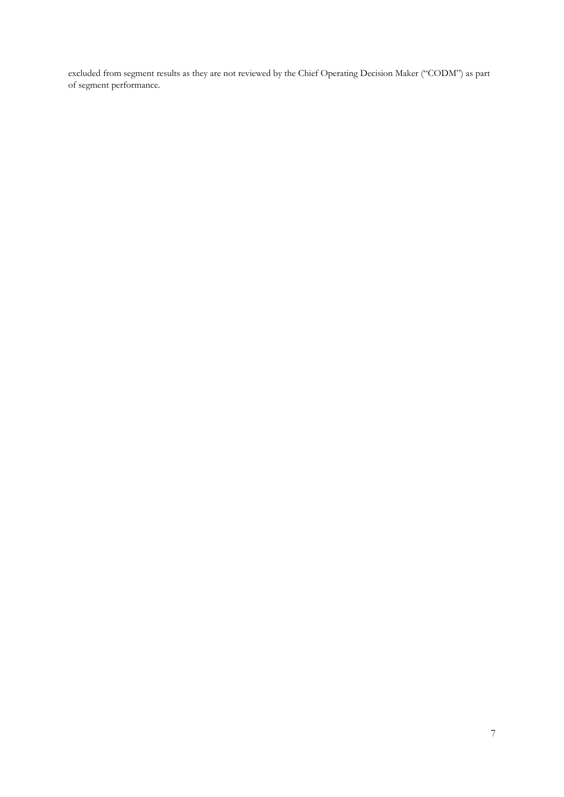excluded from segment results as they are not reviewed by the Chief Operating Decision Maker ("CODM") as part of segment performance.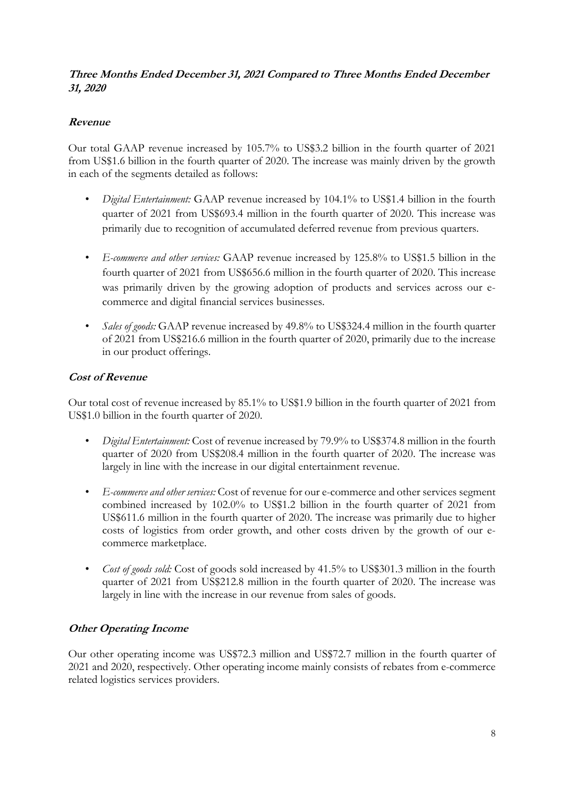### **Three Months Ended December 31, 2021 Compared to Three Months Ended December 31, 2020**

## **Revenue**

Our total GAAP revenue increased by 105.7% to US\$3.2 billion in the fourth quarter of 2021 from US\$1.6 billion in the fourth quarter of 2020. The increase was mainly driven by the growth in each of the segments detailed as follows:

- *Digital Entertainment:* GAAP revenue increased by 104.1% to US\$1.4 billion in the fourth quarter of 2021 from US\$693.4 million in the fourth quarter of 2020. This increase was primarily due to recognition of accumulated deferred revenue from previous quarters.
- *E-commerce and other services:* GAAP revenue increased by 125.8% to US\$1.5 billion in the fourth quarter of 2021 from US\$656.6 million in the fourth quarter of 2020. This increase was primarily driven by the growing adoption of products and services across our ecommerce and digital financial services businesses.
- *Sales of goods:* GAAP revenue increased by 49.8% to US\$324.4 million in the fourth quarter of 2021 from US\$216.6 million in the fourth quarter of 2020, primarily due to the increase in our product offerings.

## **Cost of Revenue**

Our total cost of revenue increased by 85.1% to US\$1.9 billion in the fourth quarter of 2021 from US\$1.0 billion in the fourth quarter of 2020.

- *Digital Entertainment:* Cost of revenue increased by 79.9% to US\$374.8 million in the fourth quarter of 2020 from US\$208.4 million in the fourth quarter of 2020. The increase was largely in line with the increase in our digital entertainment revenue.
- *E-commerce and other services:* Cost of revenue for our e-commerce and other services segment combined increased by 102.0% to US\$1.2 billion in the fourth quarter of 2021 from US\$611.6 million in the fourth quarter of 2020. The increase was primarily due to higher costs of logistics from order growth, and other costs driven by the growth of our ecommerce marketplace.
- *Cost of goods sold:* Cost of goods sold increased by 41.5% to US\$301.3 million in the fourth quarter of 2021 from US\$212.8 million in the fourth quarter of 2020. The increase was largely in line with the increase in our revenue from sales of goods.

# **Other Operating Income**

Our other operating income was US\$72.3 million and US\$72.7 million in the fourth quarter of 2021 and 2020, respectively. Other operating income mainly consists of rebates from e-commerce related logistics services providers.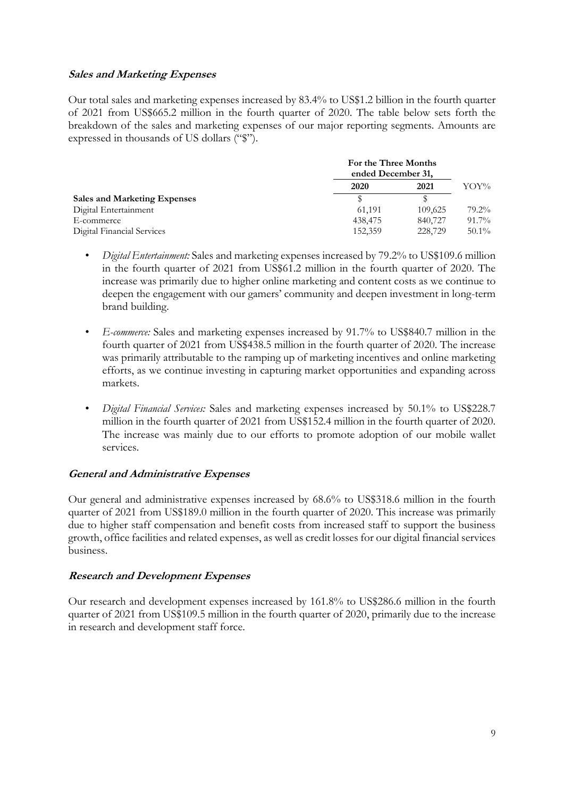### **Sales and Marketing Expenses**

Our total sales and marketing expenses increased by 83.4% to US\$1.2 billion in the fourth quarter of 2021 from US\$665.2 million in the fourth quarter of 2020. The table below sets forth the breakdown of the sales and marketing expenses of our major reporting segments. Amounts are expressed in thousands of US dollars ("\$").

|                                     | For the Three Months<br>ended December 31, |         |          |
|-------------------------------------|--------------------------------------------|---------|----------|
|                                     | 2020                                       | 2021    | YOY%     |
| <b>Sales and Marketing Expenses</b> |                                            |         |          |
| Digital Entertainment               | 61.191                                     | 109,625 | 79.2%    |
| E-commerce                          | 438,475                                    | 840,727 | 91.7%    |
| Digital Financial Services          | 152,359                                    | 228,729 | $50.1\%$ |

- *Digital Entertainment:* Sales and marketing expenses increased by 79.2% to US\$109.6 million in the fourth quarter of 2021 from US\$61.2 million in the fourth quarter of 2020. The increase was primarily due to higher online marketing and content costs as we continue to deepen the engagement with our gamers' community and deepen investment in long-term brand building.
- *E-commerce:* Sales and marketing expenses increased by 91.7% to US\$840.7 million in the fourth quarter of 2021 from US\$438.5 million in the fourth quarter of 2020. The increase was primarily attributable to the ramping up of marketing incentives and online marketing efforts, as we continue investing in capturing market opportunities and expanding across markets.
- *Digital Financial Services:* Sales and marketing expenses increased by 50.1% to US\$228.7 million in the fourth quarter of 2021 from US\$152.4 million in the fourth quarter of 2020. The increase was mainly due to our efforts to promote adoption of our mobile wallet services.

## **General and Administrative Expenses**

Our general and administrative expenses increased by 68.6% to US\$318.6 million in the fourth quarter of 2021 from US\$189.0 million in the fourth quarter of 2020. This increase was primarily due to higher staff compensation and benefit costs from increased staff to support the business growth, office facilities and related expenses, as well as credit losses for our digital financial services business.

## **Research and Development Expenses**

Our research and development expenses increased by 161.8% to US\$286.6 million in the fourth quarter of 2021 from US\$109.5 million in the fourth quarter of 2020, primarily due to the increase in research and development staff force.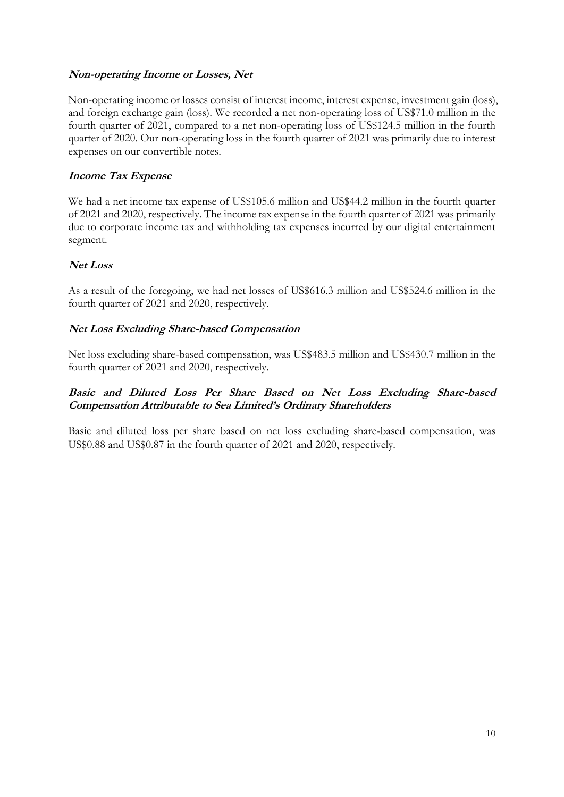## **Non-operating Income or Losses, Net**

Non-operating income or losses consist of interest income, interest expense, investment gain (loss), and foreign exchange gain (loss). We recorded a net non-operating loss of US\$71.0 million in the fourth quarter of 2021, compared to a net non-operating loss of US\$124.5 million in the fourth quarter of 2020. Our non-operating loss in the fourth quarter of 2021 was primarily due to interest expenses on our convertible notes.

## **Income Tax Expense**

We had a net income tax expense of US\$105.6 million and US\$44.2 million in the fourth quarter of 2021 and 2020, respectively. The income tax expense in the fourth quarter of 2021 was primarily due to corporate income tax and withholding tax expenses incurred by our digital entertainment segment.

### **Net Loss**

As a result of the foregoing, we had net losses of US\$616.3 million and US\$524.6 million in the fourth quarter of 2021 and 2020, respectively.

### **Net Loss Excluding Share-based Compensation**

Net loss excluding share-based compensation, was US\$483.5 million and US\$430.7 million in the fourth quarter of 2021 and 2020, respectively.

### **Basic and Diluted Loss Per Share Based on Net Loss Excluding Share-based Compensation Attributable to Sea Limited's Ordinary Shareholders**

Basic and diluted loss per share based on net loss excluding share-based compensation, was US\$0.88 and US\$0.87 in the fourth quarter of 2021 and 2020, respectively.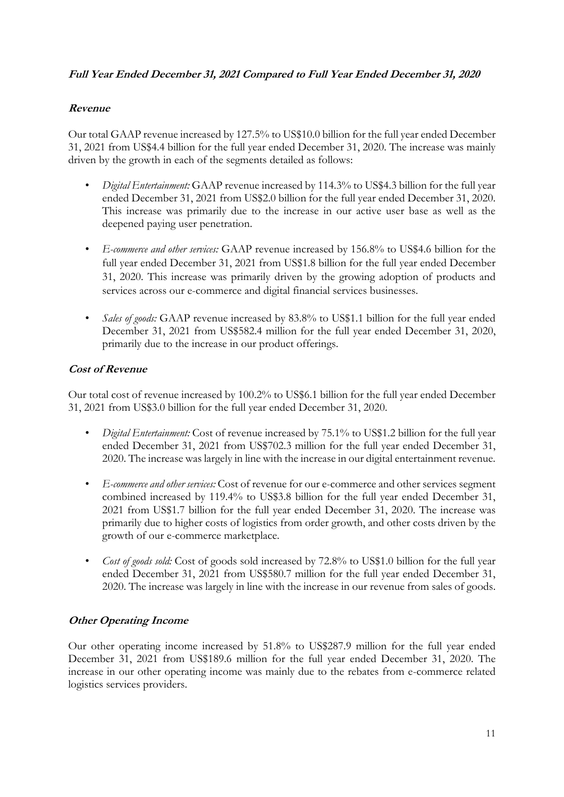## **Full Year Ended December 31, 2021 Compared to Full Year Ended December 31, 2020**

## **Revenue**

Our total GAAP revenue increased by 127.5% to US\$10.0 billion for the full year ended December 31, 2021 from US\$4.4 billion for the full year ended December 31, 2020. The increase was mainly driven by the growth in each of the segments detailed as follows:

- *Digital Entertainment:* GAAP revenue increased by 114.3% to US\$4.3 billion for the full year ended December 31, 2021 from US\$2.0 billion for the full year ended December 31, 2020. This increase was primarily due to the increase in our active user base as well as the deepened paying user penetration.
- *E-commerce and other services:* GAAP revenue increased by 156.8% to US\$4.6 billion for the full year ended December 31, 2021 from US\$1.8 billion for the full year ended December 31, 2020. This increase was primarily driven by the growing adoption of products and services across our e-commerce and digital financial services businesses.
- *Sales of goods:* GAAP revenue increased by 83.8% to US\$1.1 billion for the full year ended December 31, 2021 from US\$582.4 million for the full year ended December 31, 2020, primarily due to the increase in our product offerings.

## **Cost of Revenue**

Our total cost of revenue increased by 100.2% to US\$6.1 billion for the full year ended December 31, 2021 from US\$3.0 billion for the full year ended December 31, 2020.

- *Digital Entertainment:* Cost of revenue increased by 75.1% to US\$1.2 billion for the full year ended December 31, 2021 from US\$702.3 million for the full year ended December 31, 2020. The increase was largely in line with the increase in our digital entertainment revenue.
- *E-commerce and other services:* Cost of revenue for our e-commerce and other services segment combined increased by 119.4% to US\$3.8 billion for the full year ended December 31, 2021 from US\$1.7 billion for the full year ended December 31, 2020. The increase was primarily due to higher costs of logistics from order growth, and other costs driven by the growth of our e-commerce marketplace.
- *Cost of goods sold:* Cost of goods sold increased by 72.8% to US\$1.0 billion for the full year ended December 31, 2021 from US\$580.7 million for the full year ended December 31, 2020. The increase was largely in line with the increase in our revenue from sales of goods.

## **Other Operating Income**

Our other operating income increased by 51.8% to US\$287.9 million for the full year ended December 31, 2021 from US\$189.6 million for the full year ended December 31, 2020. The increase in our other operating income was mainly due to the rebates from e-commerce related logistics services providers.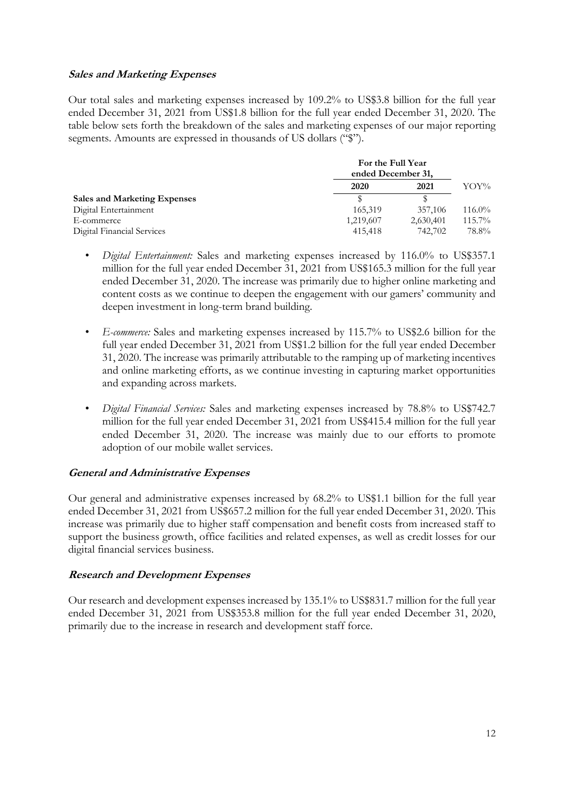### **Sales and Marketing Expenses**

Our total sales and marketing expenses increased by 109.2% to US\$3.8 billion for the full year ended December 31, 2021 from US\$1.8 billion for the full year ended December 31, 2020. The table below sets forth the breakdown of the sales and marketing expenses of our major reporting segments. Amounts are expressed in thousands of US dollars ("\$").

|                                     | For the Full Year<br>ended December 31, |           |           |
|-------------------------------------|-----------------------------------------|-----------|-----------|
|                                     | 2020                                    | 2021      | YOY%      |
| <b>Sales and Marketing Expenses</b> |                                         |           |           |
| Digital Entertainment               | 165,319                                 | 357,106   | $116.0\%$ |
| E-commerce                          | 1,219,607                               | 2,630,401 | $115.7\%$ |
| Digital Financial Services          | 415,418                                 | 742,702   | 78.8%     |

- *Digital Entertainment:* Sales and marketing expenses increased by 116.0% to US\$357.1 million for the full year ended December 31, 2021 from US\$165.3 million for the full year ended December 31, 2020. The increase was primarily due to higher online marketing and content costs as we continue to deepen the engagement with our gamers' community and deepen investment in long-term brand building.
- *E-commerce:* Sales and marketing expenses increased by 115.7% to US\$2.6 billion for the full year ended December 31, 2021 from US\$1.2 billion for the full year ended December 31, 2020. The increase was primarily attributable to the ramping up of marketing incentives and online marketing efforts, as we continue investing in capturing market opportunities and expanding across markets.
- *Digital Financial Services:* Sales and marketing expenses increased by 78.8% to US\$742.7 million for the full year ended December 31, 2021 from US\$415.4 million for the full year ended December 31, 2020. The increase was mainly due to our efforts to promote adoption of our mobile wallet services.

## **General and Administrative Expenses**

Our general and administrative expenses increased by 68.2% to US\$1.1 billion for the full year ended December 31, 2021 from US\$657.2 million for the full year ended December 31, 2020. This increase was primarily due to higher staff compensation and benefit costs from increased staff to support the business growth, office facilities and related expenses, as well as credit losses for our digital financial services business.

## **Research and Development Expenses**

Our research and development expenses increased by 135.1% to US\$831.7 million for the full year ended December 31, 2021 from US\$353.8 million for the full year ended December 31, 2020, primarily due to the increase in research and development staff force.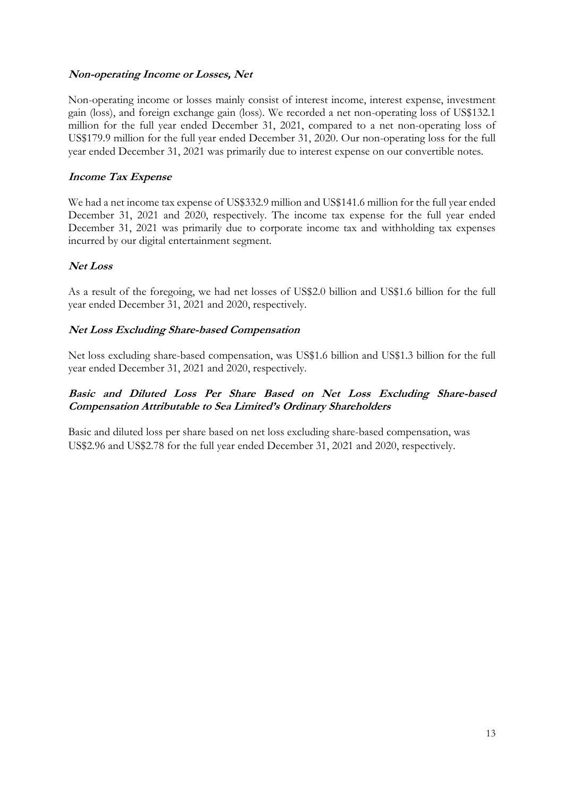## **Non-operating Income or Losses, Net**

Non-operating income or losses mainly consist of interest income, interest expense, investment gain (loss), and foreign exchange gain (loss). We recorded a net non-operating loss of US\$132.1 million for the full year ended December 31, 2021, compared to a net non-operating loss of US\$179.9 million for the full year ended December 31, 2020. Our non-operating loss for the full year ended December 31, 2021 was primarily due to interest expense on our convertible notes.

## **Income Tax Expense**

We had a net income tax expense of US\$332.9 million and US\$141.6 million for the full year ended December 31, 2021 and 2020, respectively. The income tax expense for the full year ended December 31, 2021 was primarily due to corporate income tax and withholding tax expenses incurred by our digital entertainment segment.

## **Net Loss**

As a result of the foregoing, we had net losses of US\$2.0 billion and US\$1.6 billion for the full year ended December 31, 2021 and 2020, respectively.

### **Net Loss Excluding Share-based Compensation**

Net loss excluding share-based compensation, was US\$1.6 billion and US\$1.3 billion for the full year ended December 31, 2021 and 2020, respectively.

### **Basic and Diluted Loss Per Share Based on Net Loss Excluding Share-based Compensation Attributable to Sea Limited's Ordinary Shareholders**

Basic and diluted loss per share based on net loss excluding share-based compensation, was US\$2.96 and US\$2.78 for the full year ended December 31, 2021 and 2020, respectively.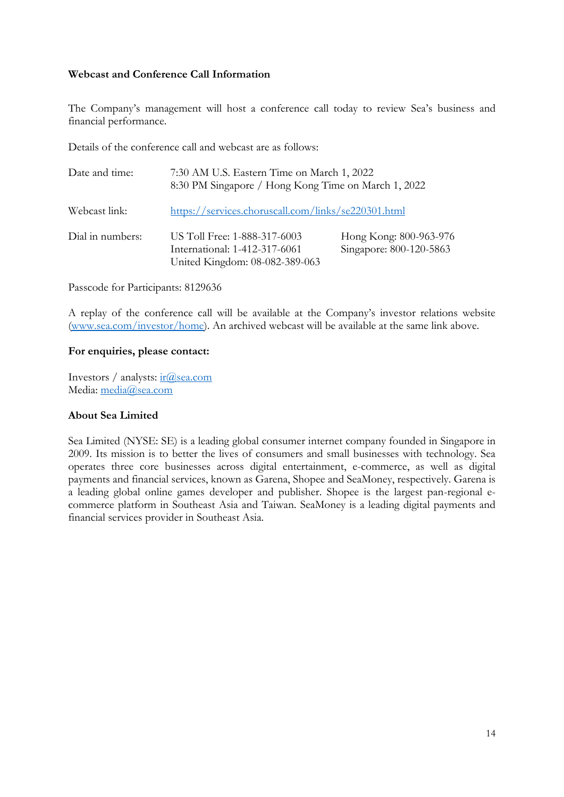### **Webcast and Conference Call Information**

The Company's management will host a conference call today to review Sea's business and financial performance.

Details of the conference call and webcast are as follows:

| Date and time:   | 7:30 AM U.S. Eastern Time on March 1, 2022<br>8:30 PM Singapore / Hong Kong Time on March 1, 2022 |                                                   |  |  |
|------------------|---------------------------------------------------------------------------------------------------|---------------------------------------------------|--|--|
| Webcast link:    | https://services.choruscall.com/links/se220301.html                                               |                                                   |  |  |
| Dial in numbers: | US Toll Free: 1-888-317-6003<br>International: 1-412-317-6061<br>United Kingdom: 08-082-389-063   | Hong Kong: 800-963-976<br>Singapore: 800-120-5863 |  |  |

Passcode for Participants: 8129636

A replay of the conference call will be available at the Company's investor relations website [\(www.sea.com/investor/home\)](http://www.sea.com/investor/home). An archived webcast will be available at the same link above.

### **For enquiries, please contact:**

Investors / analysts:  $ir(\partial)$  sea.com Media: [media@sea.com](mailto:media@sea.com)

### **About Sea Limited**

Sea Limited (NYSE: SE) is a leading global consumer internet company founded in Singapore in 2009. Its mission is to better the lives of consumers and small businesses with technology. Sea operates three core businesses across digital entertainment, e-commerce, as well as digital payments and financial services, known as Garena, Shopee and SeaMoney, respectively. Garena is a leading global online games developer and publisher. Shopee is the largest pan-regional ecommerce platform in Southeast Asia and Taiwan. SeaMoney is a leading digital payments and financial services provider in Southeast Asia.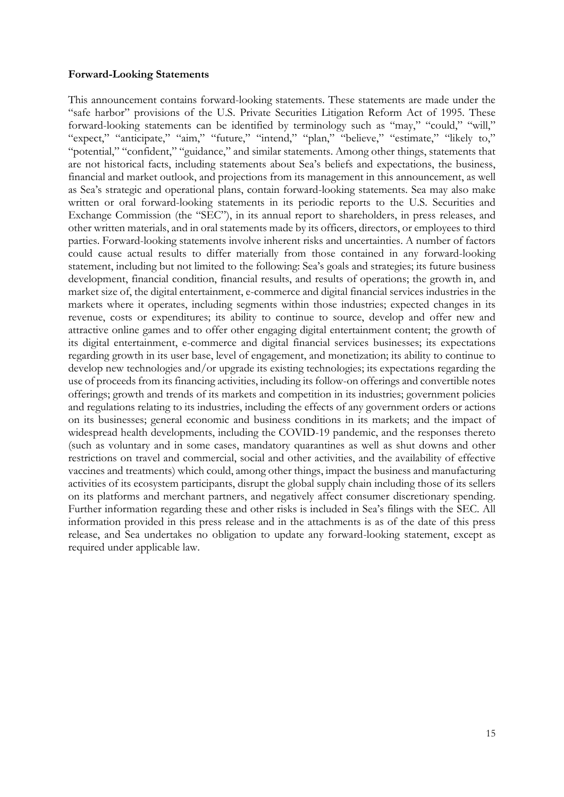#### **Forward-Looking Statements**

This announcement contains forward-looking statements. These statements are made under the "safe harbor" provisions of the U.S. Private Securities Litigation Reform Act of 1995. These forward-looking statements can be identified by terminology such as "may," "could," "will," "expect," "anticipate," "aim," "future," "intend," "plan," "believe," "estimate," "likely to," "potential," "confident," "guidance," and similar statements. Among other things, statements that are not historical facts, including statements about Sea's beliefs and expectations, the business, financial and market outlook, and projections from its management in this announcement, as well as Sea's strategic and operational plans, contain forward-looking statements. Sea may also make written or oral forward-looking statements in its periodic reports to the U.S. Securities and Exchange Commission (the "SEC"), in its annual report to shareholders, in press releases, and other written materials, and in oral statements made by its officers, directors, or employees to third parties. Forward-looking statements involve inherent risks and uncertainties. A number of factors could cause actual results to differ materially from those contained in any forward-looking statement, including but not limited to the following: Sea's goals and strategies; its future business development, financial condition, financial results, and results of operations; the growth in, and market size of, the digital entertainment, e-commerce and digital financial services industries in the markets where it operates, including segments within those industries; expected changes in its revenue, costs or expenditures; its ability to continue to source, develop and offer new and attractive online games and to offer other engaging digital entertainment content; the growth of its digital entertainment, e-commerce and digital financial services businesses; its expectations regarding growth in its user base, level of engagement, and monetization; its ability to continue to develop new technologies and/or upgrade its existing technologies; its expectations regarding the use of proceeds from its financing activities, including its follow-on offerings and convertible notes offerings; growth and trends of its markets and competition in its industries; government policies and regulations relating to its industries, including the effects of any government orders or actions on its businesses; general economic and business conditions in its markets; and the impact of widespread health developments, including the COVID-19 pandemic, and the responses thereto (such as voluntary and in some cases, mandatory quarantines as well as shut downs and other restrictions on travel and commercial, social and other activities, and the availability of effective vaccines and treatments) which could, among other things, impact the business and manufacturing activities of its ecosystem participants, disrupt the global supply chain including those of its sellers on its platforms and merchant partners, and negatively affect consumer discretionary spending. Further information regarding these and other risks is included in Sea's filings with the SEC. All information provided in this press release and in the attachments is as of the date of this press release, and Sea undertakes no obligation to update any forward-looking statement, except as required under applicable law.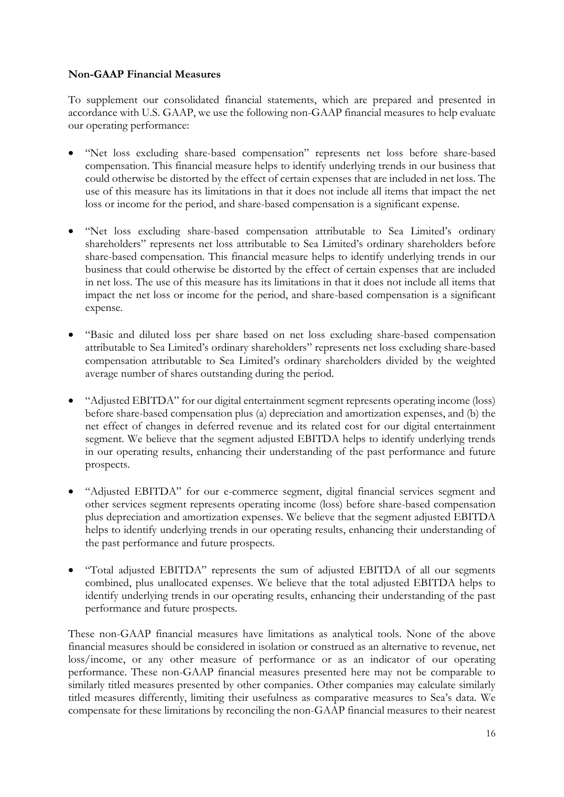### **Non-GAAP Financial Measures**

To supplement our consolidated financial statements, which are prepared and presented in accordance with U.S. GAAP, we use the following non-GAAP financial measures to help evaluate our operating performance:

- "Net loss excluding share-based compensation" represents net loss before share-based compensation. This financial measure helps to identify underlying trends in our business that could otherwise be distorted by the effect of certain expenses that are included in net loss. The use of this measure has its limitations in that it does not include all items that impact the net loss or income for the period, and share-based compensation is a significant expense.
- "Net loss excluding share-based compensation attributable to Sea Limited's ordinary shareholders" represents net loss attributable to Sea Limited's ordinary shareholders before share-based compensation. This financial measure helps to identify underlying trends in our business that could otherwise be distorted by the effect of certain expenses that are included in net loss. The use of this measure has its limitations in that it does not include all items that impact the net loss or income for the period, and share-based compensation is a significant expense.
- "Basic and diluted loss per share based on net loss excluding share-based compensation attributable to Sea Limited's ordinary shareholders" represents net loss excluding share-based compensation attributable to Sea Limited's ordinary shareholders divided by the weighted average number of shares outstanding during the period.
- "Adjusted EBITDA" for our digital entertainment segment represents operating income (loss) before share-based compensation plus (a) depreciation and amortization expenses, and (b) the net effect of changes in deferred revenue and its related cost for our digital entertainment segment. We believe that the segment adjusted EBITDA helps to identify underlying trends in our operating results, enhancing their understanding of the past performance and future prospects.
- "Adjusted EBITDA" for our e-commerce segment, digital financial services segment and other services segment represents operating income (loss) before share-based compensation plus depreciation and amortization expenses. We believe that the segment adjusted EBITDA helps to identify underlying trends in our operating results, enhancing their understanding of the past performance and future prospects.
- "Total adjusted EBITDA" represents the sum of adjusted EBITDA of all our segments combined, plus unallocated expenses. We believe that the total adjusted EBITDA helps to identify underlying trends in our operating results, enhancing their understanding of the past performance and future prospects.

These non-GAAP financial measures have limitations as analytical tools. None of the above financial measures should be considered in isolation or construed as an alternative to revenue, net loss/income, or any other measure of performance or as an indicator of our operating performance. These non-GAAP financial measures presented here may not be comparable to similarly titled measures presented by other companies. Other companies may calculate similarly titled measures differently, limiting their usefulness as comparative measures to Sea's data. We compensate for these limitations by reconciling the non-GAAP financial measures to their nearest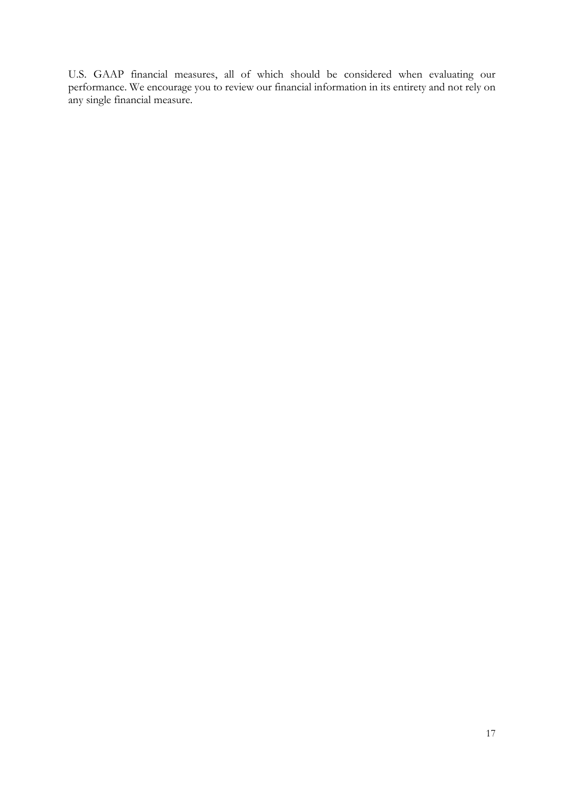U.S. GAAP financial measures, all of which should be considered when evaluating our performance. We encourage you to review our financial information in its entirety and not rely on any single financial measure.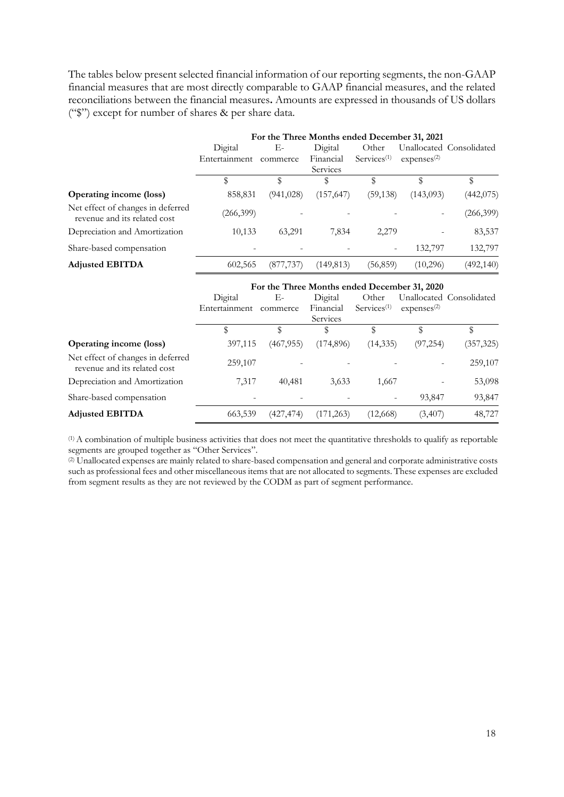The tables below present selected financial information of our reporting segments, the non-GAAP financial measures that are most directly comparable to GAAP financial measures, and the related reconciliations between the financial measures**.** Amounts are expressed in thousands of US dollars ("\$") except for number of shares & per share data.

|                                                                   | For the Three Months ended December 31, 2021 |            |            |                   |                         |                          |
|-------------------------------------------------------------------|----------------------------------------------|------------|------------|-------------------|-------------------------|--------------------------|
|                                                                   | Digital                                      | Е-         | Digital    | Other             |                         | Unallocated Consolidated |
|                                                                   | Entertainment                                | commerce   | Financial  | $S$ ervices $(1)$ | expenses <sup>(2)</sup> |                          |
|                                                                   |                                              |            | Services   |                   |                         |                          |
|                                                                   |                                              | \$         | \$         |                   | \$                      | \$                       |
| <b>Operating income (loss)</b>                                    | 858,831                                      | (941, 028) | (157, 647) | (59, 138)         | (143,093)               | (442,075)                |
| Net effect of changes in deferred<br>revenue and its related cost | (266, 399)                                   |            |            |                   |                         | (266, 399)               |
| Depreciation and Amortization                                     | 10,133                                       | 63,291     | 7,834      | 2,279             |                         | 83,537                   |
| Share-based compensation                                          |                                              |            |            |                   | 132,797                 | 132,797                  |
| <b>Adjusted EBITDA</b>                                            | 602,565                                      | (877, 737) | (149,813)  | (56, 859)         | (10,296)                | (492, 140)               |

|                                                                   | For the Three Months ended December 31, 2020 |            |                       |                   |                        |                          |
|-------------------------------------------------------------------|----------------------------------------------|------------|-----------------------|-------------------|------------------------|--------------------------|
|                                                                   | Digital                                      | Е-         | Digital               | Other             |                        | Unallocated Consolidated |
|                                                                   | Entertainment                                | commerce   | Financial<br>Services | $S$ ervices $(1)$ | express <sup>(2)</sup> |                          |
|                                                                   | \$                                           | \$         | S                     |                   |                        | \$                       |
| <b>Operating income (loss)</b>                                    | 397,115                                      | (467, 955) | (174,896)             | (14, 335)         | (97, 254)              | (357, 325)               |
| Net effect of changes in deferred<br>revenue and its related cost | 259,107                                      |            |                       |                   |                        | 259,107                  |
| Depreciation and Amortization                                     | 7,317                                        | 40,481     | 3,633                 | 1,667             |                        | 53,098                   |
| Share-based compensation                                          |                                              |            |                       |                   | 93,847                 | 93,847                   |
| <b>Adjusted EBITDA</b>                                            | 663,539                                      | (427,474)  | (171, 263)            | (12,668)          | (3, 407)               | 48,727                   |

(1) A combination of multiple business activities that does not meet the quantitative thresholds to qualify as reportable segments are grouped together as "Other Services".

<sup>(2)</sup> Unallocated expenses are mainly related to share-based compensation and general and corporate administrative costs such as professional fees and other miscellaneous items that are not allocated to segments. These expenses are excluded from segment results as they are not reviewed by the CODM as part of segment performance.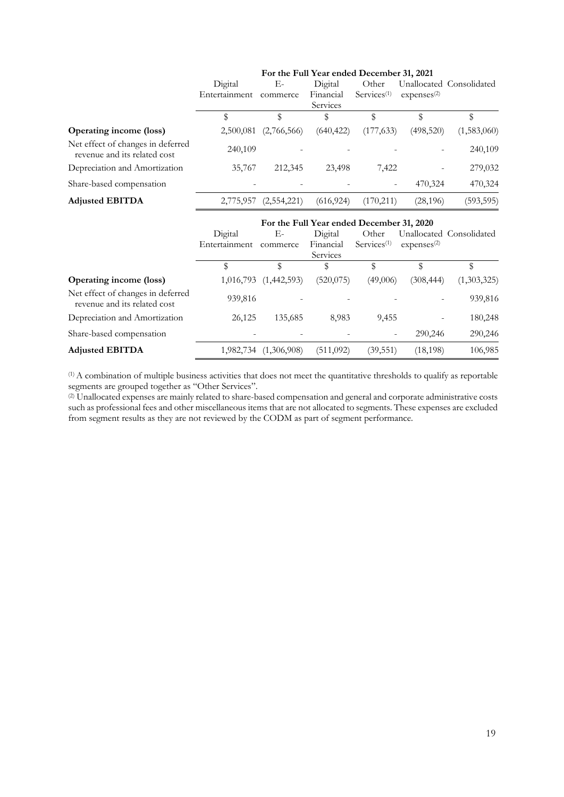|                                                                   | Digital<br>Entertainment | Е-<br>commerce | For the Full Year ended December 31, 2021<br>Digital<br>Financial<br>Services | Other<br>Services <sup>(1)</sup> | expenses <sup>(2)</sup> | Unallocated Consolidated |
|-------------------------------------------------------------------|--------------------------|----------------|-------------------------------------------------------------------------------|----------------------------------|-------------------------|--------------------------|
|                                                                   | \$                       | \$             | \$                                                                            | \$                               |                         | \$                       |
| <b>Operating income (loss)</b>                                    | 2,500,081                | (2,766,566)    | (640, 422)                                                                    | (177, 633)                       | (498,520)               | (1,583,060)              |
| Net effect of changes in deferred<br>revenue and its related cost | 240,109                  |                |                                                                               |                                  |                         | 240,109                  |
| Depreciation and Amortization                                     | 35,767                   | 212,345        | 23,498                                                                        | 7,422                            |                         | 279,032                  |
| Share-based compensation                                          |                          |                |                                                                               |                                  | 470,324                 | 470,324                  |
| <b>Adjusted EBITDA</b>                                            | 2,775,957                | (2,554,221)    | (616, 924)                                                                    | (170, 211)                       | (28, 196)               | (593, 595)               |
|                                                                   | Digital<br>Entertainment | Е-<br>commerce | For the Full Year ended December 31, 2020<br>Digital<br>Financial<br>Services | Other<br>Services <sup>(1)</sup> | expenses <sup>(2)</sup> | Unallocated Consolidated |
|                                                                   | \$                       | \$             | \$                                                                            | \$                               | \$                      | \$                       |
| <b>Operating income (loss)</b>                                    | 1,016,793                | (1,442,593)    | (520,075)                                                                     | (49,006)                         | (308, 444)              | (1,303,325)              |
| Net effect of changes in deferred                                 | 020.016                  |                |                                                                               |                                  |                         | 020.016                  |

| <b>Adjusted EBITDA</b>                                            |         | 1,982,734 (1,306,908) | (511,092)                | (39.551) | (18, 198) | 106,985 |
|-------------------------------------------------------------------|---------|-----------------------|--------------------------|----------|-----------|---------|
| Share-based compensation                                          | -       | -                     |                          |          | 290,246   | 290,246 |
| Depreciation and Amortization                                     | 26,125  | 135.685               | 8.983                    | 9,455    |           | 180,248 |
| The effect of changes in deferred<br>revenue and its related cost | 939,816 | -                     | $\overline{\phantom{a}}$ |          |           | 939,816 |

(1) A combination of multiple business activities that does not meet the quantitative thresholds to qualify as reportable segments are grouped together as "Other Services".

<sup>(2)</sup> Unallocated expenses are mainly related to share-based compensation and general and corporate administrative costs such as professional fees and other miscellaneous items that are not allocated to segments. These expenses are excluded from segment results as they are not reviewed by the CODM as part of segment performance.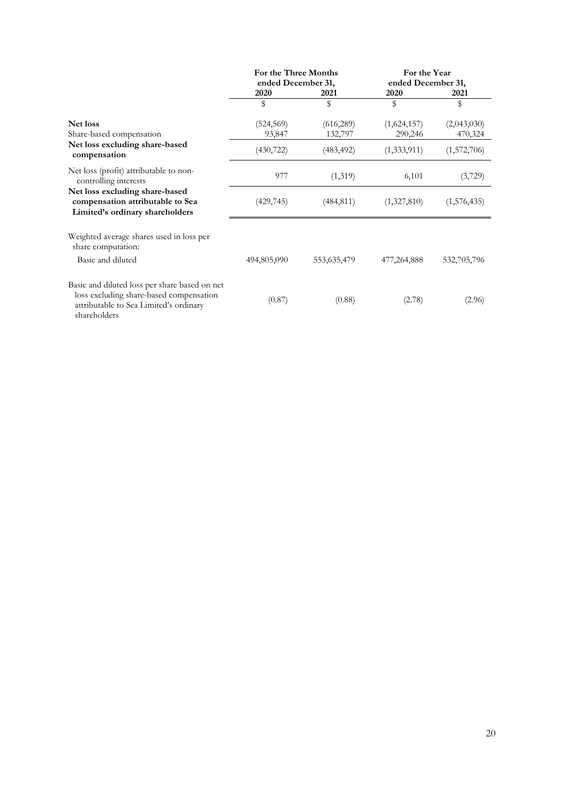|                                                                                                                                                    | For the Three Months               |                       | For the Year<br>ended December 31, |                        |  |
|----------------------------------------------------------------------------------------------------------------------------------------------------|------------------------------------|-----------------------|------------------------------------|------------------------|--|
|                                                                                                                                                    | ended December 31,<br>2020<br>2021 |                       | 2020                               | 2021                   |  |
|                                                                                                                                                    | \$                                 | \$                    | \$                                 | \$                     |  |
| Net loss<br>Share-based compensation                                                                                                               | (524, 569)<br>93,847               | (616, 289)<br>132,797 | (1,624,157)<br>290,246             | (2,043,030)<br>470,324 |  |
| Net loss excluding share-based<br>compensation                                                                                                     | (430, 722)                         | (483, 492)            | (1, 333, 911)                      | (1,572,706)            |  |
| Net loss (profit) attributable to non-<br>controlling interests                                                                                    | 977                                | (1,319)               | 6,101                              | (3,729)                |  |
| Net loss excluding share-based<br>compensation attributable to Sea<br>Limited's ordinary shareholders                                              | (429, 745)                         | (484, 811)            | (1,327,810)                        | (1,576,435)            |  |
| Weighted average shares used in loss per<br>share computation:                                                                                     |                                    |                       |                                    |                        |  |
| Basic and diluted                                                                                                                                  | 494,805,090                        | 553,635,479           | 477,264,888                        | 532,705,796            |  |
| Basic and diluted loss per share based on net<br>loss excluding share-based compensation<br>attributable to Sea Limited's ordinary<br>shareholders | (0.87)                             | (0.88)                | (2.78)                             | (2.96)                 |  |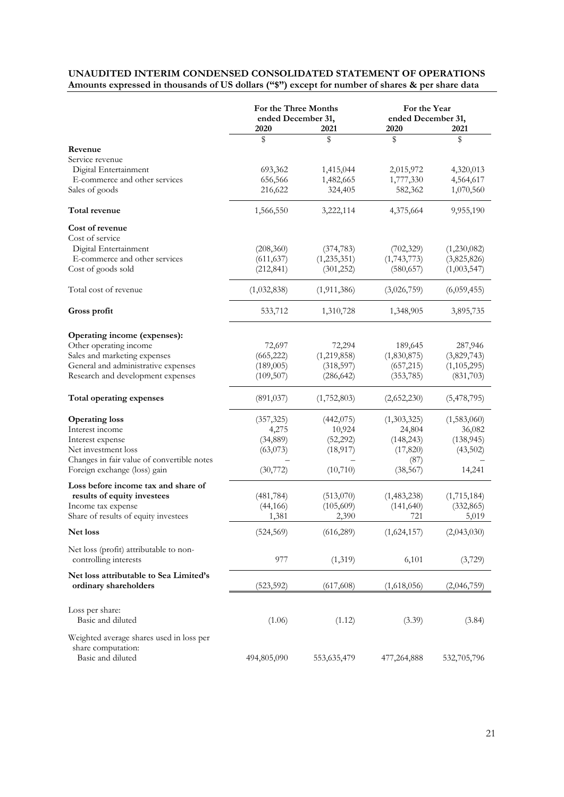### **UNAUDITED INTERIM CONDENSED CONSOLIDATED STATEMENT OF OPERATIONS Amounts expressed in thousands of US dollars ("\$") except for number of shares & per share data**

|                                                                 | For the Three Months<br>ended December 31, |               | For the Year<br>ended December 31, |             |
|-----------------------------------------------------------------|--------------------------------------------|---------------|------------------------------------|-------------|
|                                                                 | 2020                                       | 2021          | 2020                               | 2021        |
|                                                                 | \$                                         | \$            | \$                                 | \$          |
| Revenue                                                         |                                            |               |                                    |             |
| Service revenue                                                 |                                            |               |                                    |             |
| Digital Entertainment                                           | 693,362                                    | 1,415,044     | 2,015,972                          | 4,320,013   |
| E-commerce and other services                                   | 656,566                                    | 1,482,665     | 1,777,330                          | 4,564,617   |
| Sales of goods                                                  | 216,622                                    | 324,405       | 582,362                            | 1,070,560   |
| Total revenue                                                   | 1,566,550                                  | 3,222,114     | 4,375,664                          | 9,955,190   |
| Cost of revenue                                                 |                                            |               |                                    |             |
| Cost of service                                                 |                                            |               |                                    |             |
| Digital Entertainment                                           | (208, 360)                                 | (374, 783)    | (702, 329)                         | (1,230,082) |
| E-commerce and other services                                   | (611, 637)                                 | (1, 235, 351) | (1,743,773)                        | (3,825,826) |
| Cost of goods sold                                              | (212, 841)                                 | (301, 252)    | (580, 657)                         | (1,003,547) |
| Total cost of revenue                                           | (1,032,838)                                | (1,911,386)   | (3,026,759)                        | (6,059,455) |
| Gross profit                                                    | 533,712                                    | 1,310,728     | 1,348,905                          | 3,895,735   |
| Operating income (expenses):                                    |                                            |               |                                    |             |
| Other operating income                                          | 72,697                                     | 72,294        | 189,645                            | 287,946     |
| Sales and marketing expenses                                    | (665, 222)                                 | (1,219,858)   | (1,830,875)                        | (3,829,743) |
| General and administrative expenses                             | (189,005)                                  | (318, 597)    | (657,215)                          | (1,105,295) |
| Research and development expenses                               | (109, 507)                                 | (286, 642)    | (353, 785)                         | (831,703)   |
| Total operating expenses                                        | (891, 037)                                 | (1,752,803)   | (2,652,230)                        | (5,478,795) |
| <b>Operating loss</b>                                           | (357, 325)                                 | (442, 075)    | (1,303,325)                        | (1,583,060) |
| Interest income                                                 | 4,275                                      | 10,924        | 24,804                             | 36,082      |
| Interest expense                                                | (34, 889)                                  | (52, 292)     | (148, 243)                         | (138, 945)  |
| Net investment loss                                             | (63,073)                                   | (18, 917)     | (17, 820)                          | (43,502)    |
| Changes in fair value of convertible notes                      |                                            |               | (87)                               |             |
| Foreign exchange (loss) gain                                    | (30,772)                                   | (10, 710)     | (38, 567)                          | 14,241      |
| Loss before income tax and share of                             |                                            |               |                                    |             |
| results of equity investees                                     | (481, 784)                                 | (513,070)     | (1,483,238)                        | (1,715,184) |
| Income tax expense                                              | (44, 166)                                  | (105, 609)    | (141, 640)                         | (332, 865)  |
| Share of results of equity investees                            | 1,381                                      | 2,390         | 721                                | 5,019       |
| Net loss                                                        | (524, 569)                                 | (616, 289)    | (1,624,157)                        | (2,043,030) |
| Net loss (profit) attributable to non-<br>controlling interests | 977                                        | (1,319)       | 6,101                              | (3,729)     |
| Net loss attributable to Sea Limited's                          |                                            |               |                                    |             |
| ordinary shareholders                                           | (523, 592)                                 | (617,608)     | (1,618,056)                        | (2,046,759) |
| Loss per share:                                                 |                                            |               |                                    |             |
| Basic and diluted                                               | (1.06)                                     | (1.12)        | (3.39)                             | (3.84)      |
| Weighted average shares used in loss per<br>share computation:  |                                            |               |                                    |             |
| Basic and diluted                                               | 494,805,090                                | 553, 635, 479 | 477,264,888                        | 532,705,796 |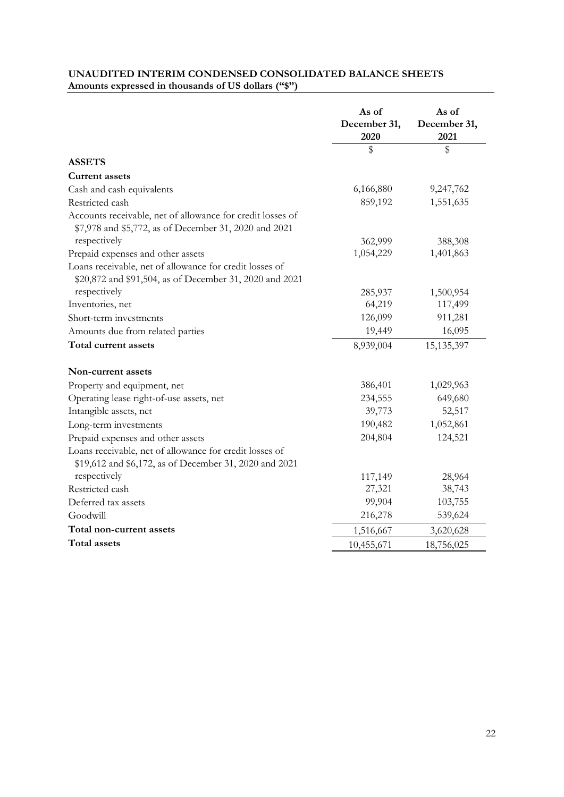## **UNAUDITED INTERIM CONDENSED CONSOLIDATED BALANCE SHEETS Amounts expressed in thousands of US dollars ("\$")**

|                                                                                                                    | As of                | As of                |
|--------------------------------------------------------------------------------------------------------------------|----------------------|----------------------|
|                                                                                                                    | December 31,<br>2020 | December 31,<br>2021 |
|                                                                                                                    | \$                   | \$                   |
| <b>ASSETS</b>                                                                                                      |                      |                      |
| <b>Current assets</b>                                                                                              |                      |                      |
| Cash and cash equivalents                                                                                          | 6,166,880            | 9,247,762            |
| Restricted cash                                                                                                    | 859,192              | 1,551,635            |
| Accounts receivable, net of allowance for credit losses of                                                         |                      |                      |
| \$7,978 and \$5,772, as of December 31, 2020 and 2021                                                              |                      |                      |
| respectively                                                                                                       | 362,999              | 388,308              |
| Prepaid expenses and other assets                                                                                  | 1,054,229            | 1,401,863            |
| Loans receivable, net of allowance for credit losses of<br>\$20,872 and \$91,504, as of December 31, 2020 and 2021 |                      |                      |
| respectively                                                                                                       | 285,937              | 1,500,954            |
| Inventories, net                                                                                                   | 64,219               | 117,499              |
| Short-term investments                                                                                             | 126,099              | 911,281              |
| Amounts due from related parties                                                                                   | 19,449               | 16,095               |
| Total current assets                                                                                               | 8,939,004            | 15, 135, 397         |
| Non-current assets                                                                                                 |                      |                      |
| Property and equipment, net                                                                                        | 386,401              | 1,029,963            |
| Operating lease right-of-use assets, net                                                                           | 234,555              | 649,680              |
| Intangible assets, net                                                                                             | 39,773               | 52,517               |
| Long-term investments                                                                                              | 190,482              | 1,052,861            |
| Prepaid expenses and other assets                                                                                  | 204,804              | 124,521              |
| Loans receivable, net of allowance for credit losses of<br>\$19,612 and \$6,172, as of December 31, 2020 and 2021  |                      |                      |
| respectively                                                                                                       | 117,149              | 28,964               |
| Restricted cash                                                                                                    | 27,321               | 38,743               |
| Deferred tax assets                                                                                                | 99,904               | 103,755              |
| Goodwill                                                                                                           | 216,278              | 539,624              |
| Total non-current assets                                                                                           | 1,516,667            | 3,620,628            |
| <b>Total assets</b>                                                                                                | 10,455,671           | 18,756,025           |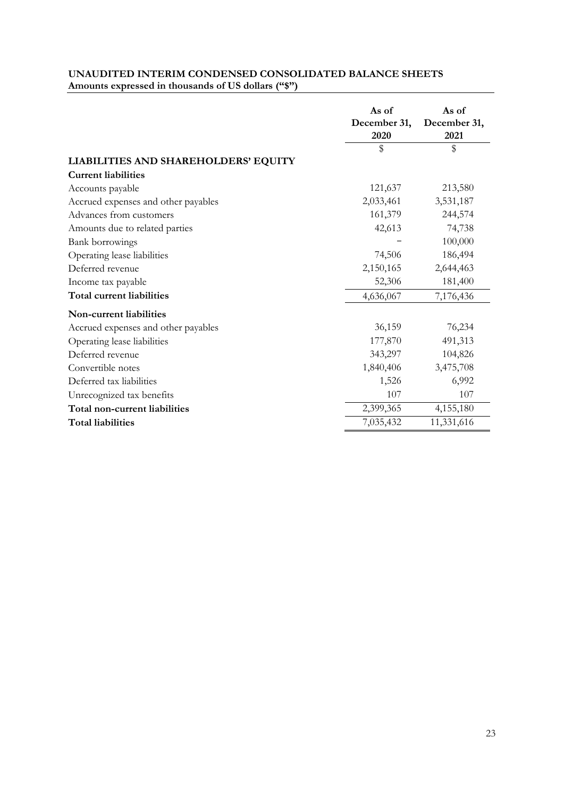|                                      | As of                | As of                |
|--------------------------------------|----------------------|----------------------|
|                                      | December 31,<br>2020 | December 31,<br>2021 |
|                                      | \$                   | \$                   |
| LIABILITIES AND SHAREHOLDERS' EQUITY |                      |                      |
| <b>Current liabilities</b>           |                      |                      |
| Accounts payable                     | 121,637              | 213,580              |
| Accrued expenses and other payables  | 2,033,461            | 3,531,187            |
| Advances from customers              | 161,379              | 244,574              |
| Amounts due to related parties       | 42,613               | 74,738               |
| Bank borrowings                      |                      | 100,000              |
| Operating lease liabilities          | 74,506               | 186,494              |
| Deferred revenue                     | 2,150,165            | 2,644,463            |
| Income tax payable                   | 52,306               | 181,400              |
| <b>Total current liabilities</b>     | 4,636,067            | 7,176,436            |
| Non-current liabilities              |                      |                      |
| Accrued expenses and other payables  | 36,159               | 76,234               |
| Operating lease liabilities          | 177,870              | 491,313              |
| Deferred revenue                     | 343,297              | 104,826              |
| Convertible notes                    | 1,840,406            | 3,475,708            |
| Deferred tax liabilities             | 1,526                | 6,992                |
| Unrecognized tax benefits            | 107                  | 107                  |
| Total non-current liabilities        | 2,399,365            | 4,155,180            |
| <b>Total liabilities</b>             | 7,035,432            | 11,331,616           |

### **UNAUDITED INTERIM CONDENSED CONSOLIDATED BALANCE SHEETS Amounts expressed in thousands of US dollars ("\$")**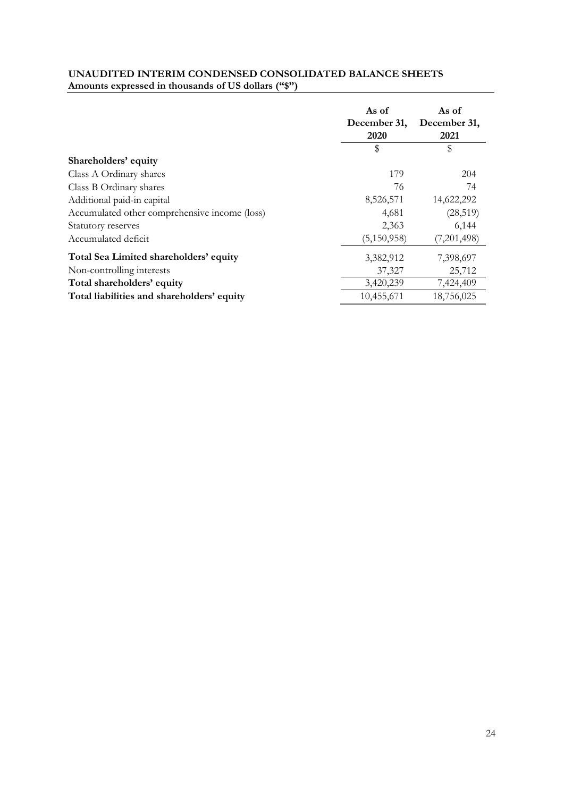### **UNAUDITED INTERIM CONDENSED CONSOLIDATED BALANCE SHEETS Amounts expressed in thousands of US dollars ("\$")**

|                                               | As of<br>December 31,<br>2020 | As of<br>December 31,<br>2021 |
|-----------------------------------------------|-------------------------------|-------------------------------|
|                                               | \$                            | \$                            |
| Shareholders' equity                          |                               |                               |
| Class A Ordinary shares                       | 179                           | 204                           |
| Class B Ordinary shares                       | 76                            | 74                            |
| Additional paid-in capital                    | 8,526,571                     | 14,622,292                    |
| Accumulated other comprehensive income (loss) | 4,681                         | (28, 519)                     |
| Statutory reserves                            | 2,363                         | 6,144                         |
| Accumulated deficit                           | (5,150,958)                   | (7,201,498)                   |
| Total Sea Limited shareholders' equity        | 3,382,912                     | 7,398,697                     |
| Non-controlling interests                     | 37,327                        | 25,712                        |
| Total shareholders' equity                    | 3,420,239                     | 7,424,409                     |
| Total liabilities and shareholders' equity    | 10,455,671                    | 18,756,025                    |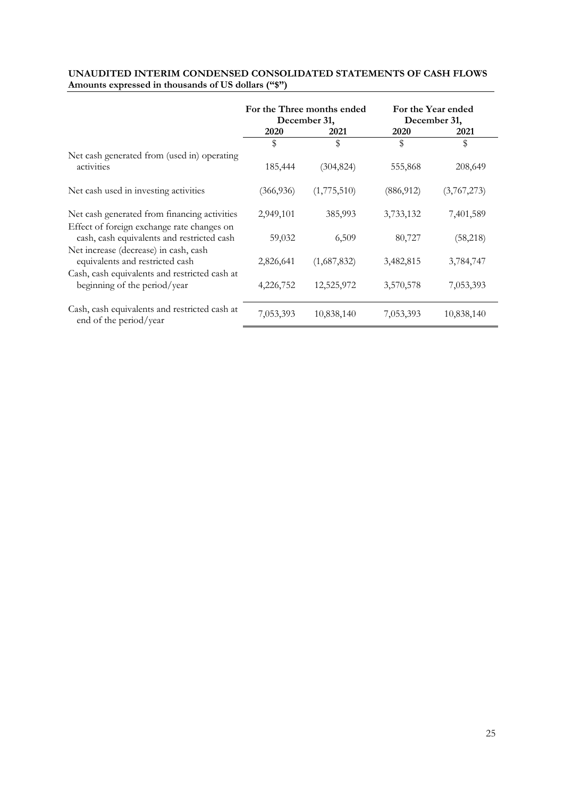|                                                                                          |              | For the Three months ended<br>December 31, | For the Year ended<br>December 31, |             |  |
|------------------------------------------------------------------------------------------|--------------|--------------------------------------------|------------------------------------|-------------|--|
|                                                                                          | 2020<br>2021 |                                            | 2020                               | 2021        |  |
|                                                                                          | \$           | \$                                         | \$                                 | \$          |  |
| Net cash generated from (used in) operating<br>activities                                | 185,444      | (304, 824)                                 | 555,868                            | 208,649     |  |
| Net cash used in investing activities                                                    | (366, 936)   | (1,775,510)                                | (886, 912)                         | (3,767,273) |  |
| Net cash generated from financing activities                                             | 2,949,101    | 385,993                                    | 3,733,132                          | 7,401,589   |  |
| Effect of foreign exchange rate changes on<br>cash, cash equivalents and restricted cash | 59,032       | 6,509                                      | 80,727                             | (58, 218)   |  |
| Net increase (decrease) in cash, cash<br>equivalents and restricted cash                 | 2,826,641    | (1,687,832)                                | 3,482,815                          | 3,784,747   |  |
| Cash, cash equivalents and restricted cash at<br>beginning of the period/year            | 4,226,752    | 12,525,972                                 | 3,570,578                          | 7,053,393   |  |
| Cash, cash equivalents and restricted cash at<br>end of the period/year                  | 7,053,393    | 10,838,140                                 | 7,053,393                          | 10,838,140  |  |

#### **UNAUDITED INTERIM CONDENSED CONSOLIDATED STATEMENTS OF CASH FLOWS Amounts expressed in thousands of US dollars ("\$")**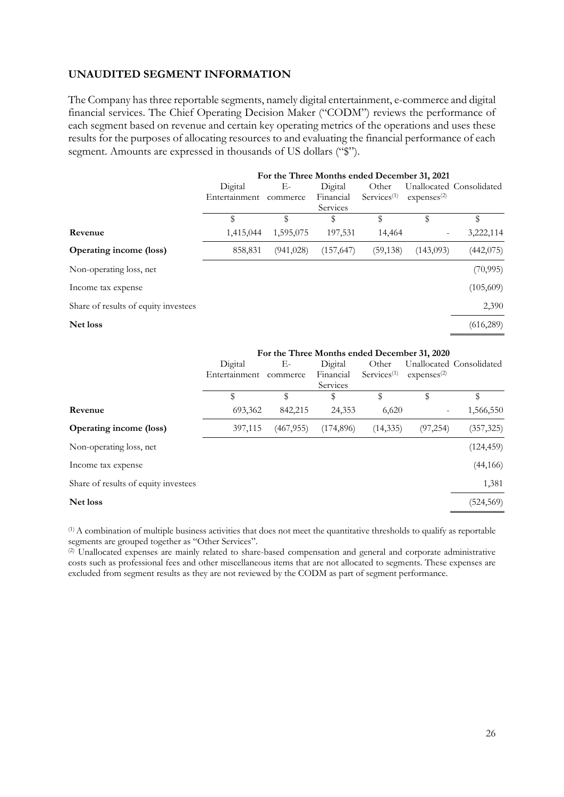#### **UNAUDITED SEGMENT INFORMATION**

The Company has three reportable segments, namely digital entertainment, e-commerce and digital financial services. The Chief Operating Decision Maker ("CODM") reviews the performance of each segment based on revenue and certain key operating metrics of the operations and uses these results for the purposes of allocating resources to and evaluating the financial performance of each segment. Amounts are expressed in thousands of US dollars ("\").

|                                      | For the Three Months ended December 31, 2021 |            |            |                   |                         |                          |
|--------------------------------------|----------------------------------------------|------------|------------|-------------------|-------------------------|--------------------------|
|                                      | Digital                                      | Е-         | Digital    | Other             |                         | Unallocated Consolidated |
|                                      | Entertainment                                | commerce   | Financial  | $S$ ervices $(1)$ | expenses <sup>(2)</sup> |                          |
|                                      |                                              |            | Services   |                   |                         |                          |
|                                      | \$                                           | \$         | S          | \$                | \$                      | \$                       |
| Revenue                              | 1,415,044                                    | 1,595,075  | 197,531    | 14,464            |                         | 3,222,114                |
| <b>Operating income (loss)</b>       | 858,831                                      | (941, 028) | (157, 647) | (59, 138)         | (143,093)               | (442, 075)               |
| Non-operating loss, net              |                                              |            |            |                   |                         | (70, 995)                |
| Income tax expense                   |                                              |            |            |                   |                         | (105,609)                |
| Share of results of equity investees |                                              |            |            |                   |                         | 2,390                    |
| Net loss                             |                                              |            |            |                   |                         | (616, 289)               |
|                                      |                                              |            |            |                   |                         |                          |

|                                      | For the Three Months ended December 31, 2020 |            |            |                                         |                        |                          |
|--------------------------------------|----------------------------------------------|------------|------------|-----------------------------------------|------------------------|--------------------------|
|                                      | Digital                                      | Е-         | Digital    | Other                                   |                        | Unallocated Consolidated |
|                                      | Entertainment                                | commerce   | Financial  | $S$ ervices <sup><math>(1)</math></sup> | express <sup>(2)</sup> |                          |
|                                      |                                              |            | Services   |                                         |                        |                          |
|                                      | \$                                           | \$         | \$         | \$                                      |                        | \$                       |
| Revenue                              | 693,362                                      | 842,215    | 24,353     | 6,620                                   |                        | 1,566,550                |
| <b>Operating income (loss)</b>       | 397,115                                      | (467, 955) | (174, 896) | (14, 335)                               | (97, 254)              | (357, 325)               |
| Non-operating loss, net              |                                              |            |            |                                         |                        | (124, 459)               |
| Income tax expense                   |                                              |            |            |                                         |                        | (44, 166)                |
| Share of results of equity investees |                                              |            |            |                                         |                        | 1,381                    |
| Net loss                             |                                              |            |            |                                         |                        | (524,569)                |

(1) A combination of multiple business activities that does not meet the quantitative thresholds to qualify as reportable segments are grouped together as "Other Services".

(2) Unallocated expenses are mainly related to share-based compensation and general and corporate administrative costs such as professional fees and other miscellaneous items that are not allocated to segments. These expenses are excluded from segment results as they are not reviewed by the CODM as part of segment performance.